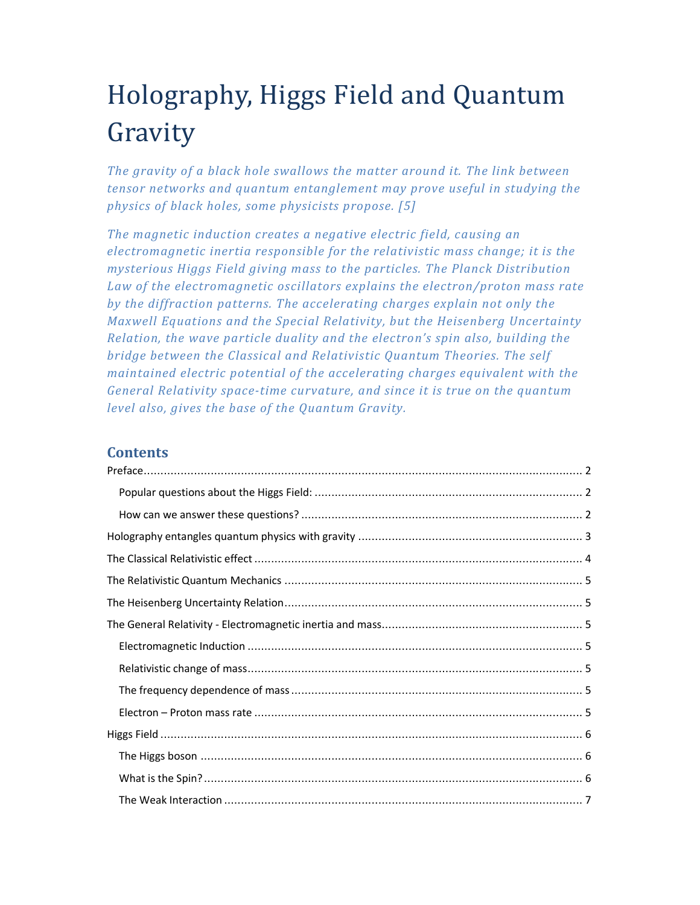# Holography, Higgs Field and Quantum Gravity

*The gravity of a black hole swallows the matter around it. The link between tensor networks and quantum entanglement may prove useful in studying the physics of black holes, some physicists propose. [5]* 

*The magnetic induction creates a negative electric field, causing an electromagnetic inertia responsible for the relativistic mass change; it is the mysterious Higgs Field giving mass to the particles. The Planck Distribution Law of the electromagnetic oscillators explains the electron/proton mass rate by the diffraction patterns. The accelerating charges explain not only the Maxwell Equations and the Special Relativity, but the Heisenberg Uncertainty Relation, the wave particle duality and the electron's spin also, building the bridge between the Classical and Relativistic Quantum Theories. The self maintained electric potential of the accelerating charges equivalent with the General Relativity space-time curvature, and since it is true on the quantum level also, gives the base of the Quantum Gravity.* 

## **Contents**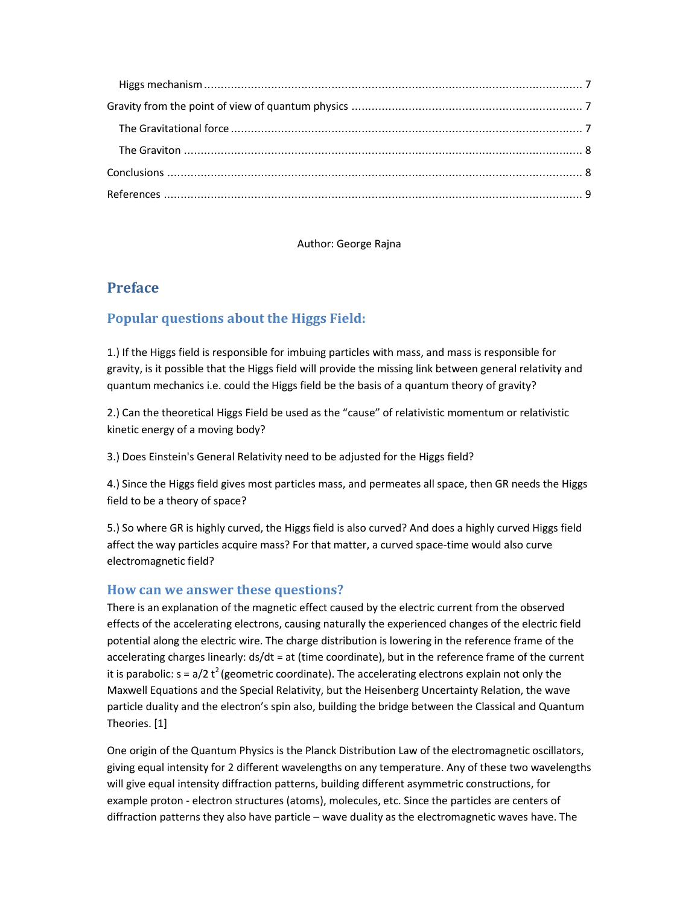#### Author: George Rajna

# **Preface**

# **Popular questions about the Higgs Field:**

1.) If the Higgs field is responsible for imbuing particles with mass, and mass is responsible for gravity, is it possible that the Higgs field will provide the missing link between general relativity and quantum mechanics i.e. could the Higgs field be the basis of a quantum theory of gravity?

2.) Can the theoretical Higgs Field be used as the "cause" of relativistic momentum or relativistic kinetic energy of a moving body?

3.) Does Einstein's General Relativity need to be adjusted for the Higgs field?

4.) Since the Higgs field gives most particles mass, and permeates all space, then GR needs the Higgs field to be a theory of space?

5.) So where GR is highly curved, the Higgs field is also curved? And does a highly curved Higgs field affect the way particles acquire mass? For that matter, a curved space-time would also curve electromagnetic field?

## **How can we answer these questions?**

There is an explanation of the magnetic effect caused by the electric current from the observed effects of the accelerating electrons, causing naturally the experienced changes of the electric field potential along the electric wire. The charge distribution is lowering in the reference frame of the accelerating charges linearly: ds/dt = at (time coordinate), but in the reference frame of the current it is parabolic:  $s = a/2 t^2$  (geometric coordinate). The accelerating electrons explain not only the Maxwell Equations and the Special Relativity, but the Heisenberg Uncertainty Relation, the wave particle duality and the electron's spin also, building the bridge between the Classical and Quantum Theories. [1]

One origin of the Quantum Physics is the Planck Distribution Law of the electromagnetic oscillators, giving equal intensity for 2 different wavelengths on any temperature. Any of these two wavelengths will give equal intensity diffraction patterns, building different asymmetric constructions, for example proton - electron structures (atoms), molecules, etc. Since the particles are centers of diffraction patterns they also have particle – wave duality as the electromagnetic waves have. The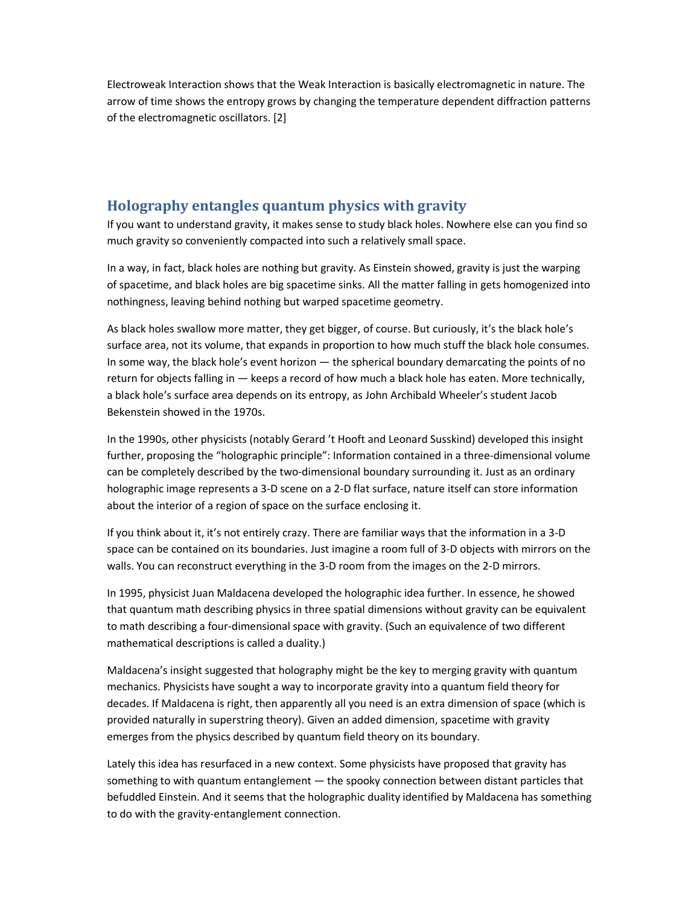Electroweak Interaction shows that the Weak Interaction is basically electromagnetic in nature. The arrow of time shows the entropy grows by changing the temperature dependent diffraction patterns of the electromagnetic oscillators. [2]

## **Holography entangles quantum physics with gravity**

If you want to understand gravity, it makes sense to study black holes. Nowhere else can you find so much gravity so conveniently compacted into such a relatively small space.

In a way, in fact, black holes are nothing but gravity. As Einstein showed, gravity is just the warping of spacetime, and black holes are big spacetime sinks. All the matter falling in gets homogenized into nothingness, leaving behind nothing but warped spacetime geometry.

As black holes swallow more matter, they get bigger, of course. But curiously, it's the black hole's surface area, not its volume, that expands in proportion to how much stuff the black hole consumes. In some way, the black hole's event horizon — the spherical boundary demarcating the points of no return for objects falling in — keeps a record of how much a black hole has eaten. More technically, a black hole's surface area depends on its entropy, as John Archibald Wheeler's student Jacob Bekenstein showed in the 1970s.

In the 1990s, other physicists (notably Gerard 't Hooft and Leonard Susskind) developed this insight further, proposing the "holographic principle": Information contained in a three-dimensional volume can be completely described by the two-dimensional boundary surrounding it. Just as an ordinary holographic image represents a 3-D scene on a 2-D flat surface, nature itself can store information about the interior of a region of space on the surface enclosing it.

If you think about it, it's not entirely crazy. There are familiar ways that the information in a 3-D space can be contained on its boundaries. Just imagine a room full of 3-D objects with mirrors on the walls. You can reconstruct everything in the 3-D room from the images on the 2-D mirrors.

In 1995, physicist Juan Maldacena developed the holographic idea further. In essence, he showed that quantum math describing physics in three spatial dimensions without gravity can be equivalent to math describing a four-dimensional space with gravity. (Such an equivalence of two different mathematical descriptions is called a duality.)

Maldacena's insight suggested that holography might be the key to merging gravity with quantum mechanics. Physicists have sought a way to incorporate gravity into a quantum field theory for decades. If Maldacena is right, then apparently all you need is an extra dimension of space (which is provided naturally in superstring theory). Given an added dimension, spacetime with gravity emerges from the physics described by quantum field theory on its boundary.

Lately this idea has resurfaced in a new context. Some physicists have proposed that gravity has something to with quantum entanglement — the spooky connection between distant particles that befuddled Einstein. And it seems that the holographic duality identified by Maldacena has something to do with the gravity-entanglement connection.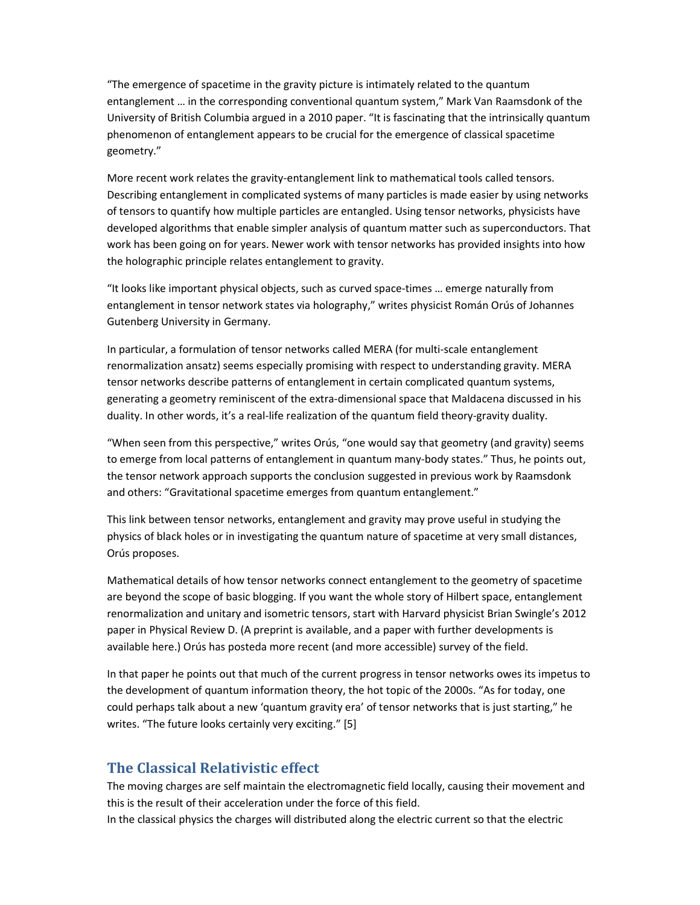"The emergence of spacetime in the gravity picture is intimately related to the quantum entanglement … in the corresponding conventional quantum system," Mark Van Raamsdonk of the University of British Columbia argued in a 2010 paper. "It is fascinating that the intrinsically quantum phenomenon of entanglement appears to be crucial for the emergence of classical spacetime geometry."

More recent work relates the gravity-entanglement link to mathematical tools called tensors. Describing entanglement in complicated systems of many particles is made easier by using networks of tensors to quantify how multiple particles are entangled. Using tensor networks, physicists have developed algorithms that enable simpler analysis of quantum matter such as superconductors. That work has been going on for years. Newer work with tensor networks has provided insights into how the holographic principle relates entanglement to gravity.

"It looks like important physical objects, such as curved space-times … emerge naturally from entanglement in tensor network states via holography," writes physicist Román Orús of Johannes Gutenberg University in Germany.

In particular, a formulation of tensor networks called MERA (for multi-scale entanglement renormalization ansatz) seems especially promising with respect to understanding gravity. MERA tensor networks describe patterns of entanglement in certain complicated quantum systems, generating a geometry reminiscent of the extra-dimensional space that Maldacena discussed in his duality. In other words, it's a real-life realization of the quantum field theory-gravity duality.

"When seen from this perspective," writes Orús, "one would say that geometry (and gravity) seems to emerge from local patterns of entanglement in quantum many-body states." Thus, he points out, the tensor network approach supports the conclusion suggested in previous work by Raamsdonk and others: "Gravitational spacetime emerges from quantum entanglement."

This link between tensor networks, entanglement and gravity may prove useful in studying the physics of black holes or in investigating the quantum nature of spacetime at very small distances, Orús proposes.

Mathematical details of how tensor networks connect entanglement to the geometry of spacetime are beyond the scope of basic blogging. If you want the whole story of Hilbert space, entanglement renormalization and unitary and isometric tensors, start with Harvard physicist Brian Swingle's 2012 paper in Physical Review D. (A preprint is available, and a paper with further developments is available here.) Orús has posteda more recent (and more accessible) survey of the field.

In that paper he points out that much of the current progress in tensor networks owes its impetus to the development of quantum information theory, the hot topic of the 2000s. "As for today, one could perhaps talk about a new 'quantum gravity era' of tensor networks that is just starting," he writes. "The future looks certainly very exciting." [5]

# **The Classical Relativistic effect**

The moving charges are self maintain the electromagnetic field locally, causing their movement and this is the result of their acceleration under the force of this field.

In the classical physics the charges will distributed along the electric current so that the electric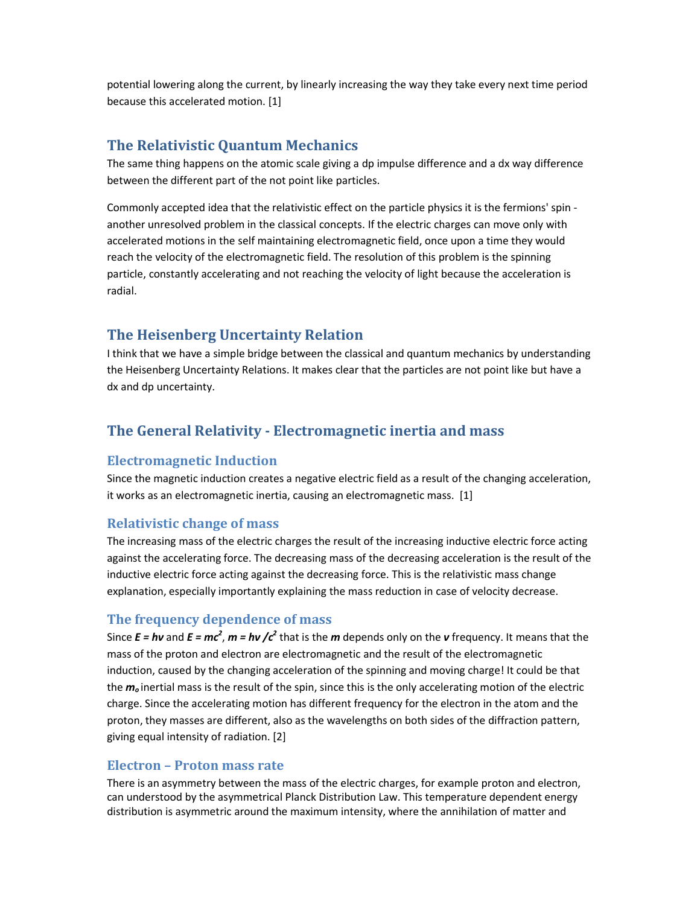potential lowering along the current, by linearly increasing the way they take every next time period because this accelerated motion. [1]

## **The Relativistic Quantum Mechanics**

The same thing happens on the atomic scale giving a dp impulse difference and a dx way difference between the different part of the not point like particles.

Commonly accepted idea that the relativistic effect on the particle physics it is the fermions' spin another unresolved problem in the classical concepts. If the electric charges can move only with accelerated motions in the self maintaining electromagnetic field, once upon a time they would reach the velocity of the electromagnetic field. The resolution of this problem is the spinning particle, constantly accelerating and not reaching the velocity of light because the acceleration is radial.

# **The Heisenberg Uncertainty Relation**

I think that we have a simple bridge between the classical and quantum mechanics by understanding the Heisenberg Uncertainty Relations. It makes clear that the particles are not point like but have a dx and dp uncertainty.

## **The General Relativity - Electromagnetic inertia and mass**

#### **Electromagnetic Induction**

Since the magnetic induction creates a negative electric field as a result of the changing acceleration, it works as an electromagnetic inertia, causing an electromagnetic mass. [1]

#### **Relativistic change of mass**

The increasing mass of the electric charges the result of the increasing inductive electric force acting against the accelerating force. The decreasing mass of the decreasing acceleration is the result of the inductive electric force acting against the decreasing force. This is the relativistic mass change explanation, especially importantly explaining the mass reduction in case of velocity decrease.

#### **The frequency dependence of mass**

Since  $E = h\nu$  and  $E = mc^2$ ,  $m = h\nu$  / $c^2$  that is the *m* depends only on the *v* frequency. It means that the mass of the proton and electron are electromagnetic and the result of the electromagnetic induction, caused by the changing acceleration of the spinning and moving charge! It could be that the *m<sup>o</sup>* inertial mass is the result of the spin, since this is the only accelerating motion of the electric charge. Since the accelerating motion has different frequency for the electron in the atom and the proton, they masses are different, also as the wavelengths on both sides of the diffraction pattern, giving equal intensity of radiation. [2]

#### **Electron – Proton mass rate**

There is an asymmetry between the mass of the electric charges, for example proton and electron, can understood by the asymmetrical Planck Distribution Law. This temperature dependent energy distribution is asymmetric around the maximum intensity, where the annihilation of matter and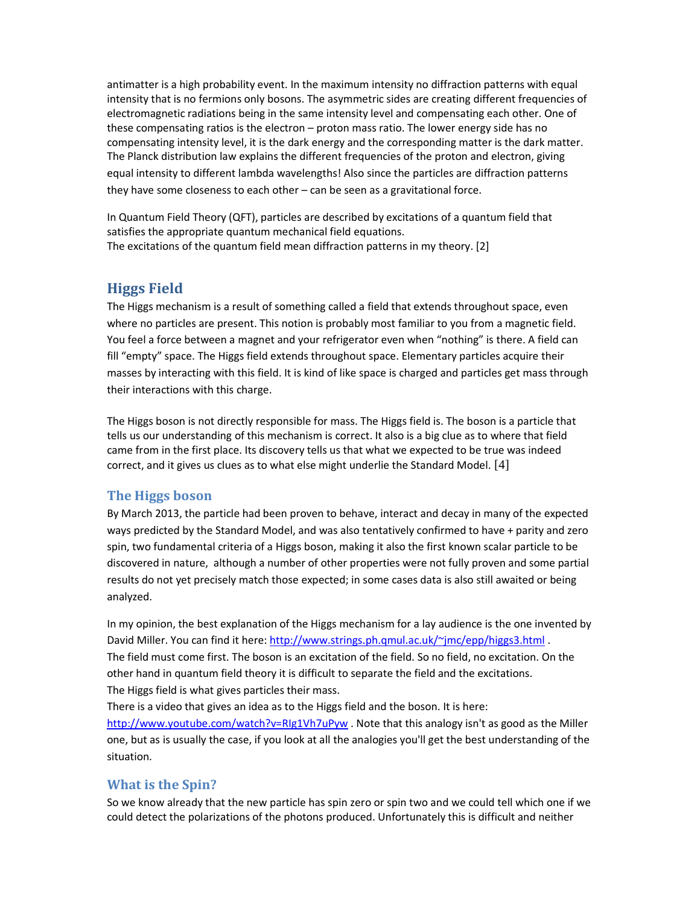antimatter is a high probability event. In the maximum intensity no diffraction patterns with equal intensity that is no fermions only bosons. The asymmetric sides are creating different frequencies of electromagnetic radiations being in the same intensity level and compensating each other. One of these compensating ratios is the electron – proton mass ratio. The lower energy side has no compensating intensity level, it is the dark energy and the corresponding matter is the dark matter. The Planck distribution law explains the different frequencies of the proton and electron, giving equal intensity to different lambda wavelengths! Also since the particles are diffraction patterns they have some closeness to each other – can be seen as a gravitational force.

In Quantum Field Theory (QFT), particles are described by excitations of a quantum field that satisfies the appropriate quantum mechanical field equations. The excitations of the quantum field mean diffraction patterns in my theory. [2]

# **Higgs Field**

The Higgs mechanism is a result of something called a field that extends throughout space, even where no particles are present. This notion is probably most familiar to you from a magnetic field. You feel a force between a magnet and your refrigerator even when "nothing" is there. A field can fill "empty" space. The Higgs field extends throughout space. Elementary particles acquire their masses by interacting with this field. It is kind of like space is charged and particles get mass through their interactions with this charge.

The Higgs boson is not directly responsible for mass. The Higgs field is. The boson is a particle that tells us our understanding of this mechanism is correct. It also is a big clue as to where that field came from in the first place. Its discovery tells us that what we expected to be true was indeed correct, and it gives us clues as to what else might underlie the Standard Model. [4]

## **The Higgs boson**

By March 2013, the particle had been proven to behave, interact and decay in many of the expected ways predicted by the Standard Model, and was also tentatively confirmed to have + parity and zero spin, two fundamental criteria of a Higgs boson, making it also the first known scalar particle to be discovered in nature, although a number of other properties were not fully proven and some partial results do not yet precisely match those expected; in some cases data is also still awaited or being analyzed.

In my opinion, the best explanation of the Higgs mechanism for a lay audience is the one invented by David Miller. You can find it here: http://www.strings.ph.qmul.ac.uk/~jmc/epp/higgs3.html . The field must come first. The boson is an excitation of the field. So no field, no excitation. On the other hand in quantum field theory it is difficult to separate the field and the excitations. The Higgs field is what gives particles their mass.

There is a video that gives an idea as to the Higgs field and the boson. It is here: http://www.youtube.com/watch?v=RIg1Vh7uPyw . Note that this analogy isn't as good as the Miller one, but as is usually the case, if you look at all the analogies you'll get the best understanding of the situation.

# **What is the Spin?**

So we know already that the new particle has spin zero or spin two and we could tell which one if we could detect the polarizations of the photons produced. Unfortunately this is difficult and neither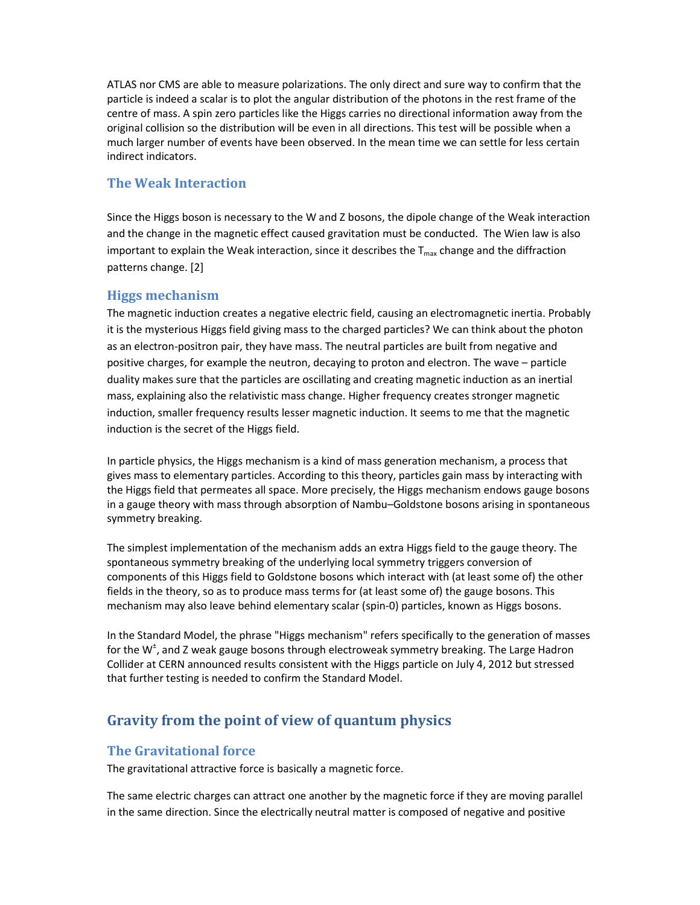ATLAS nor CMS are able to measure polarizations. The only direct and sure way to confirm that the particle is indeed a scalar is to plot the angular distribution of the photons in the rest frame of the centre of mass. A spin zero particles like the Higgs carries no directional information away from the original collision so the distribution will be even in all directions. This test will be possible when a much larger number of events have been observed. In the mean time we can settle for less certain indirect indicators.

# **The Weak Interaction**

Since the Higgs boson is necessary to the W and Z bosons, the dipole change of the Weak interaction and the change in the magnetic effect caused gravitation must be conducted. The Wien law is also important to explain the Weak interaction, since it describes the  $T_{\text{max}}$  change and the diffraction patterns change. [2]

# **Higgs mechanism**

The magnetic induction creates a negative electric field, causing an electromagnetic inertia. Probably it is the mysterious Higgs field giving mass to the charged particles? We can think about the photon as an electron-positron pair, they have mass. The neutral particles are built from negative and positive charges, for example the neutron, decaying to proton and electron. The wave – particle duality makes sure that the particles are oscillating and creating magnetic induction as an inertial mass, explaining also the relativistic mass change. Higher frequency creates stronger magnetic induction, smaller frequency results lesser magnetic induction. It seems to me that the magnetic induction is the secret of the Higgs field.

In particle physics, the Higgs mechanism is a kind of mass generation mechanism, a process that gives mass to elementary particles. According to this theory, particles gain mass by interacting with the Higgs field that permeates all space. More precisely, the Higgs mechanism endows gauge bosons in a gauge theory with mass through absorption of Nambu–Goldstone bosons arising in spontaneous symmetry breaking.

The simplest implementation of the mechanism adds an extra Higgs field to the gauge theory. The spontaneous symmetry breaking of the underlying local symmetry triggers conversion of components of this Higgs field to Goldstone bosons which interact with (at least some of) the other fields in the theory, so as to produce mass terms for (at least some of) the gauge bosons. This mechanism may also leave behind elementary scalar (spin-0) particles, known as Higgs bosons.

In the Standard Model, the phrase "Higgs mechanism" refers specifically to the generation of masses for the W<sup>±</sup>, and Z weak gauge bosons through electroweak symmetry breaking. The Large Hadron Collider at CERN announced results consistent with the Higgs particle on July 4, 2012 but stressed that further testing is needed to confirm the Standard Model.

# **Gravity from the point of view of quantum physics**

## **The Gravitational force**

The gravitational attractive force is basically a magnetic force.

The same electric charges can attract one another by the magnetic force if they are moving parallel in the same direction. Since the electrically neutral matter is composed of negative and positive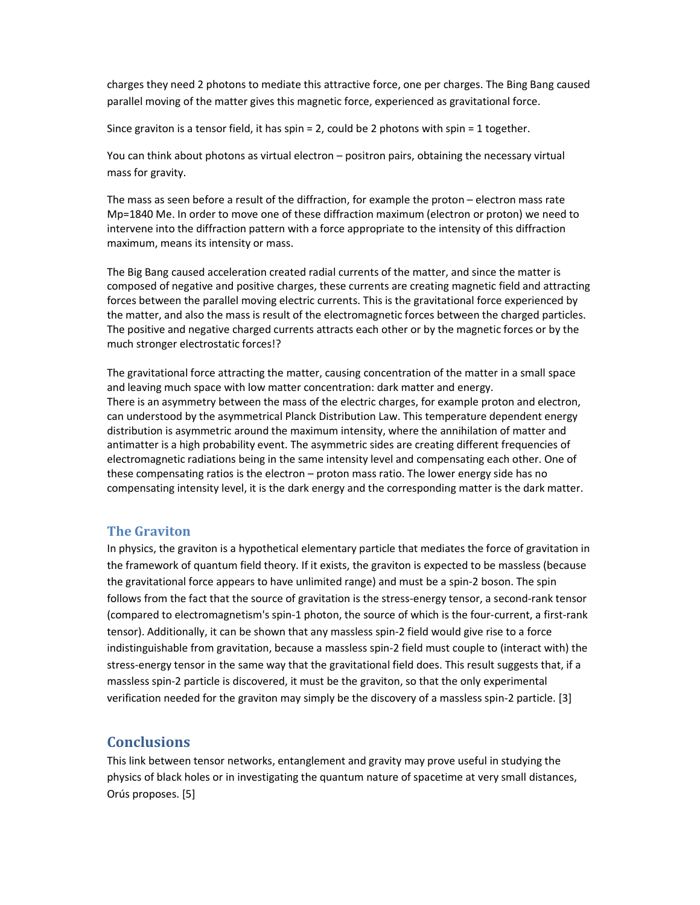charges they need 2 photons to mediate this attractive force, one per charges. The Bing Bang caused parallel moving of the matter gives this magnetic force, experienced as gravitational force.

Since graviton is a tensor field, it has spin = 2, could be 2 photons with spin = 1 together.

You can think about photons as virtual electron – positron pairs, obtaining the necessary virtual mass for gravity.

The mass as seen before a result of the diffraction, for example the proton – electron mass rate Mp=1840 Me. In order to move one of these diffraction maximum (electron or proton) we need to intervene into the diffraction pattern with a force appropriate to the intensity of this diffraction maximum, means its intensity or mass.

The Big Bang caused acceleration created radial currents of the matter, and since the matter is composed of negative and positive charges, these currents are creating magnetic field and attracting forces between the parallel moving electric currents. This is the gravitational force experienced by the matter, and also the mass is result of the electromagnetic forces between the charged particles. The positive and negative charged currents attracts each other or by the magnetic forces or by the much stronger electrostatic forces!?

The gravitational force attracting the matter, causing concentration of the matter in a small space and leaving much space with low matter concentration: dark matter and energy. There is an asymmetry between the mass of the electric charges, for example proton and electron, can understood by the asymmetrical Planck Distribution Law. This temperature dependent energy distribution is asymmetric around the maximum intensity, where the annihilation of matter and antimatter is a high probability event. The asymmetric sides are creating different frequencies of electromagnetic radiations being in the same intensity level and compensating each other. One of these compensating ratios is the electron – proton mass ratio. The lower energy side has no compensating intensity level, it is the dark energy and the corresponding matter is the dark matter.

#### **The Graviton**

In physics, the graviton is a hypothetical elementary particle that mediates the force of gravitation in the framework of quantum field theory. If it exists, the graviton is expected to be massless (because the gravitational force appears to have unlimited range) and must be a spin-2 boson. The spin follows from the fact that the source of gravitation is the stress-energy tensor, a second-rank tensor (compared to electromagnetism's spin-1 photon, the source of which is the four-current, a first-rank tensor). Additionally, it can be shown that any massless spin-2 field would give rise to a force indistinguishable from gravitation, because a massless spin-2 field must couple to (interact with) the stress-energy tensor in the same way that the gravitational field does. This result suggests that, if a massless spin-2 particle is discovered, it must be the graviton, so that the only experimental verification needed for the graviton may simply be the discovery of a massless spin-2 particle. [3]

## **Conclusions**

This link between tensor networks, entanglement and gravity may prove useful in studying the physics of black holes or in investigating the quantum nature of spacetime at very small distances, Orús proposes. [5]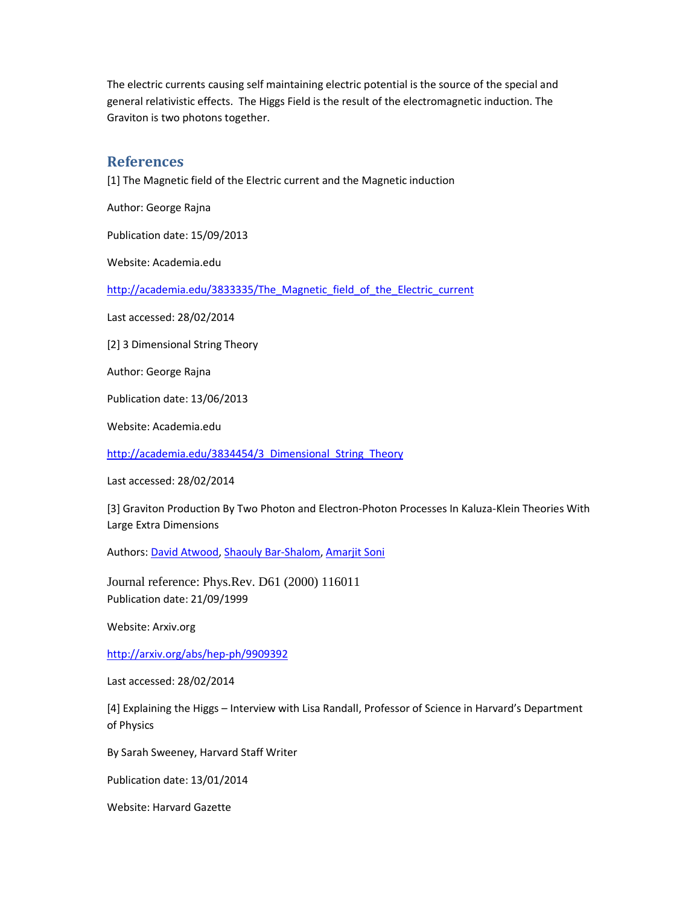The electric currents causing self maintaining electric potential is the source of the special and general relativistic effects. The Higgs Field is the result of the electromagnetic induction. The Graviton is two photons together.

### **References**

[1] The Magnetic field of the Electric current and the Magnetic induction

Author: George Rajna

Publication date: 15/09/2013

Website: Academia.edu

http://academia.edu/3833335/The\_Magnetic\_field\_of\_the\_Electric\_current

Last accessed: 28/02/2014

[2] 3 Dimensional String Theory

Author: George Rajna

Publication date: 13/06/2013

Website: Academia.edu

http://academia.edu/3834454/3\_Dimensional\_String\_Theory

Last accessed: 28/02/2014

[3] Graviton Production By Two Photon and Electron-Photon Processes In Kaluza-Klein Theories With Large Extra Dimensions

Authors: David Atwood, Shaouly Bar-Shalom, Amarjit Soni

Journal reference: Phys.Rev. D61 (2000) 116011 Publication date: 21/09/1999

Website: Arxiv.org

http://arxiv.org/abs/hep-ph/9909392

Last accessed: 28/02/2014

[4] Explaining the Higgs – Interview with Lisa Randall, Professor of Science in Harvard's Department of Physics

By Sarah Sweeney, Harvard Staff Writer

Publication date: 13/01/2014

Website: Harvard Gazette